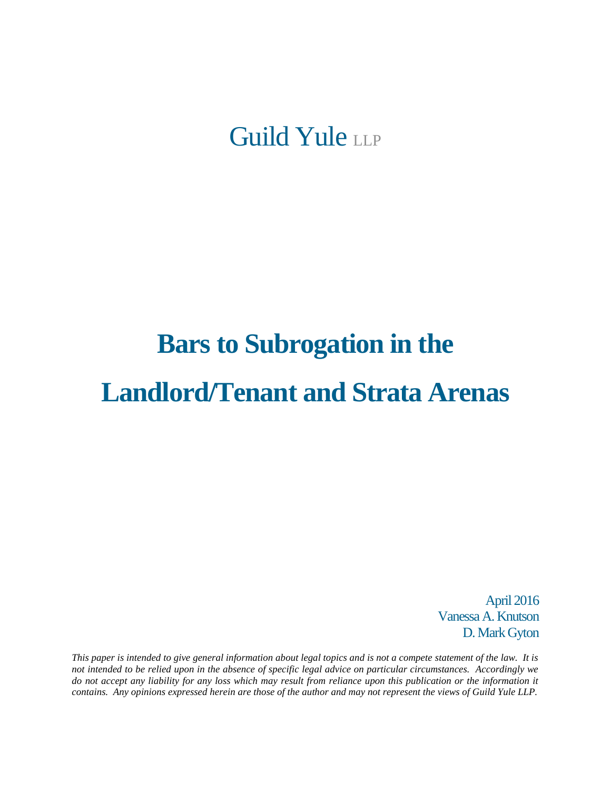Guild Yule LLP

# **Bars to Subrogation in the Landlord/Tenant and Strata Arenas**

April 2016 Vanessa A. Knutson D. Mark Gyton

*This paper is intended to give general information about legal topics and is not a compete statement of the law. It is not intended to be relied upon in the absence of specific legal advice on particular circumstances. Accordingly we do not accept any liability for any loss which may result from reliance upon this publication or the information it contains. Any opinions expressed herein are those of the author and may not represent the views of Guild Yule LLP.*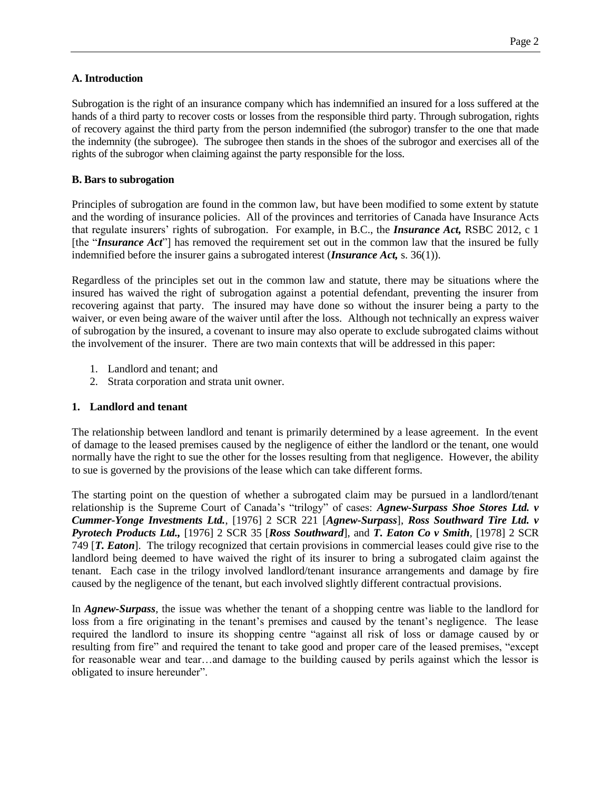## **A. Introduction**

Subrogation is the right of an insurance company which has indemnified an insured for a loss suffered at the hands of a third party to recover costs or losses from the responsible third party. Through subrogation, rights of recovery against the third party from the person indemnified (the subrogor) transfer to the one that made the indemnity (the subrogee). The subrogee then stands in the shoes of the subrogor and exercises all of the rights of the subrogor when claiming against the party responsible for the loss.

## **B. Bars to subrogation**

Principles of subrogation are found in the common law, but have been modified to some extent by statute and the wording of insurance policies. All of the provinces and territories of Canada have Insurance Acts that regulate insurers' rights of subrogation. For example, in B.C., the *Insurance Act,* RSBC 2012, c 1 [the "*Insurance Act*"] has removed the requirement set out in the common law that the insured be fully indemnified before the insurer gains a subrogated interest (*Insurance Act,* s. 36(1)).

Regardless of the principles set out in the common law and statute, there may be situations where the insured has waived the right of subrogation against a potential defendant, preventing the insurer from recovering against that party. The insured may have done so without the insurer being a party to the waiver, or even being aware of the waiver until after the loss. Although not technically an express waiver of subrogation by the insured, a covenant to insure may also operate to exclude subrogated claims without the involvement of the insurer. There are two main contexts that will be addressed in this paper:

- 1. Landlord and tenant; and
- 2. Strata corporation and strata unit owner.

# **1. Landlord and tenant**

The relationship between landlord and tenant is primarily determined by a lease agreement. In the event of damage to the leased premises caused by the negligence of either the landlord or the tenant, one would normally have the right to sue the other for the losses resulting from that negligence. However, the ability to sue is governed by the provisions of the lease which can take different forms.

The starting point on the question of whether a subrogated claim may be pursued in a landlord/tenant relationship is the Supreme Court of Canada's "trilogy" of cases: *Agnew-Surpass Shoe Stores Ltd. v Cummer-Yonge Investments Ltd.*, [1976] 2 SCR 221 [*Agnew-Surpass*], *Ross Southward Tire Ltd. v Pyrotech Products Ltd.,* [1976] 2 SCR 35 [*Ross Southward*], and *T. Eaton Co v Smith,* [1978] 2 SCR 749 [*T. Eaton*]. The trilogy recognized that certain provisions in commercial leases could give rise to the landlord being deemed to have waived the right of its insurer to bring a subrogated claim against the tenant. Each case in the trilogy involved landlord/tenant insurance arrangements and damage by fire caused by the negligence of the tenant, but each involved slightly different contractual provisions.

In *Agnew-Surpass,* the issue was whether the tenant of a shopping centre was liable to the landlord for loss from a fire originating in the tenant's premises and caused by the tenant's negligence. The lease required the landlord to insure its shopping centre "against all risk of loss or damage caused by or resulting from fire" and required the tenant to take good and proper care of the leased premises, "except for reasonable wear and tear…and damage to the building caused by perils against which the lessor is obligated to insure hereunder".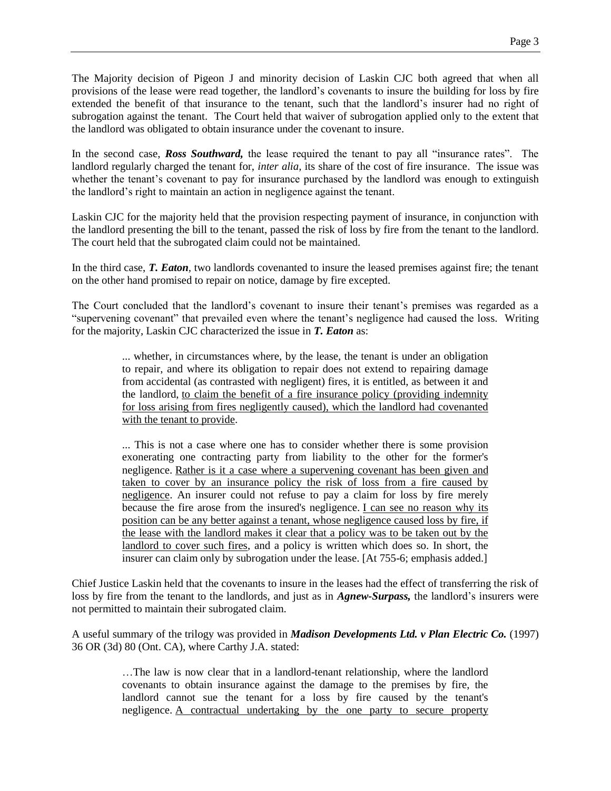The Majority decision of Pigeon J and minority decision of Laskin CJC both agreed that when all provisions of the lease were read together, the landlord's covenants to insure the building for loss by fire extended the benefit of that insurance to the tenant, such that the landlord's insurer had no right of subrogation against the tenant. The Court held that waiver of subrogation applied only to the extent that the landlord was obligated to obtain insurance under the covenant to insure.

In the second case, *Ross Southward,* the lease required the tenant to pay all "insurance rates". The landlord regularly charged the tenant for, *inter alia,* its share of the cost of fire insurance. The issue was whether the tenant's covenant to pay for insurance purchased by the landlord was enough to extinguish the landlord's right to maintain an action in negligence against the tenant.

Laskin CJC for the majority held that the provision respecting payment of insurance, in conjunction with the landlord presenting the bill to the tenant, passed the risk of loss by fire from the tenant to the landlord. The court held that the subrogated claim could not be maintained.

In the third case, *T. Eaton,* two landlords covenanted to insure the leased premises against fire; the tenant on the other hand promised to repair on notice, damage by fire excepted.

The Court concluded that the landlord's covenant to insure their tenant's premises was regarded as a "supervening covenant" that prevailed even where the tenant's negligence had caused the loss. Writing for the majority, Laskin CJC characterized the issue in *T. Eaton* as:

> ... whether, in circumstances where, by the lease, the tenant is under an obligation to repair, and where its obligation to repair does not extend to repairing damage from accidental (as contrasted with negligent) fires, it is entitled, as between it and the landlord, to claim the benefit of a fire insurance policy (providing indemnity for loss arising from fires negligently caused), which the landlord had covenanted with the tenant to provide.

> ... This is not a case where one has to consider whether there is some provision exonerating one contracting party from liability to the other for the former's negligence. Rather is it a case where a supervening covenant has been given and taken to cover by an insurance policy the risk of loss from a fire caused by negligence. An insurer could not refuse to pay a claim for loss by fire merely because the fire arose from the insured's negligence. I can see no reason why its position can be any better against a tenant, whose negligence caused loss by fire, if the lease with the landlord makes it clear that a policy was to be taken out by the landlord to cover such fires, and a policy is written which does so. In short, the insurer can claim only by subrogation under the lease. [At 755-6; emphasis added.]

Chief Justice Laskin held that the covenants to insure in the leases had the effect of transferring the risk of loss by fire from the tenant to the landlords, and just as in *Agnew-Surpass,* the landlord's insurers were not permitted to maintain their subrogated claim.

A useful summary of the trilogy was provided in *Madison Developments Ltd. v Plan Electric Co.* (1997) 36 OR (3d) 80 (Ont. CA), where Carthy J.A. stated:

> …The law is now clear that in a landlord-tenant relationship, where the landlord covenants to obtain insurance against the damage to the premises by fire, the landlord cannot sue the tenant for a loss by fire caused by the tenant's negligence. A contractual undertaking by the one party to secure property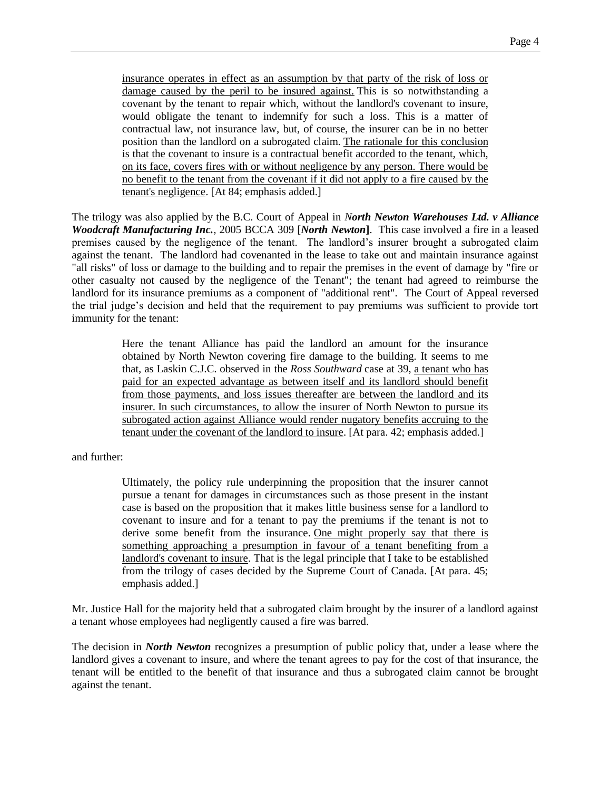insurance operates in effect as an assumption by that party of the risk of loss or damage caused by the peril to be insured against. This is so notwithstanding a covenant by the tenant to repair which, without the landlord's covenant to insure, would obligate the tenant to indemnify for such a loss. This is a matter of contractual law, not insurance law, but, of course, the insurer can be in no better position than the landlord on a subrogated claim. The rationale for this conclusion is that the covenant to insure is a contractual benefit accorded to the tenant, which, on its face, covers fires with or without negligence by any person. There would be no benefit to the tenant from the covenant if it did not apply to a fire caused by the tenant's negligence. [At 84; emphasis added.]

The trilogy was also applied by the B.C. Court of Appeal in *North Newton Warehouses Ltd. v Alliance Woodcraft Manufacturing Inc.,* 2005 BCCA 309 [*North Newton***]**. This case involved a fire in a leased premises caused by the negligence of the tenant. The landlord's insurer brought a subrogated claim against the tenant. The landlord had covenanted in the lease to take out and maintain insurance against "all risks" of loss or damage to the building and to repair the premises in the event of damage by "fire or other casualty not caused by the negligence of the Tenant"; the tenant had agreed to reimburse the landlord for its insurance premiums as a component of "additional rent". The Court of Appeal reversed the trial judge's decision and held that the requirement to pay premiums was sufficient to provide tort immunity for the tenant:

> Here the tenant Alliance has paid the landlord an amount for the insurance obtained by North Newton covering fire damage to the building. It seems to me that, as Laskin C.J.C. observed in the *Ross Southward* case at 39, a tenant who has paid for an expected advantage as between itself and its landlord should benefit from those payments, and loss issues thereafter are between the landlord and its insurer. In such circumstances, to allow the insurer of North Newton to pursue its subrogated action against Alliance would render nugatory benefits accruing to the tenant under the covenant of the landlord to insure. [At para. 42; emphasis added.]

and further:

Ultimately, the policy rule underpinning the proposition that the insurer cannot pursue a tenant for damages in circumstances such as those present in the instant case is based on the proposition that it makes little business sense for a landlord to covenant to insure and for a tenant to pay the premiums if the tenant is not to derive some benefit from the insurance. One might properly say that there is something approaching a presumption in favour of a tenant benefiting from a landlord's covenant to insure. That is the legal principle that I take to be established from the trilogy of cases decided by the Supreme Court of Canada. [At para. 45; emphasis added.]

Mr. Justice Hall for the majority held that a subrogated claim brought by the insurer of a landlord against a tenant whose employees had negligently caused a fire was barred.

The decision in *North Newton* recognizes a presumption of public policy that, under a lease where the landlord gives a covenant to insure, and where the tenant agrees to pay for the cost of that insurance, the tenant will be entitled to the benefit of that insurance and thus a subrogated claim cannot be brought against the tenant.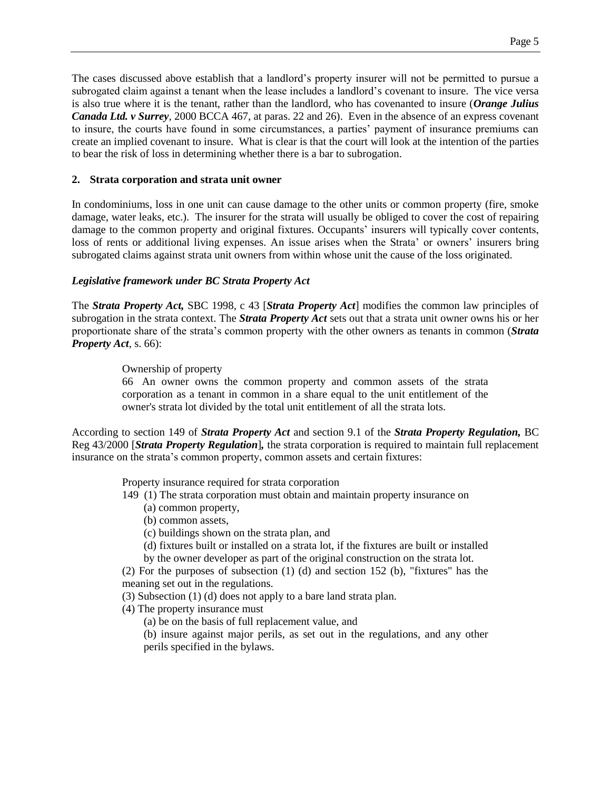The cases discussed above establish that a landlord's property insurer will not be permitted to pursue a subrogated claim against a tenant when the lease includes a landlord's covenant to insure. The vice versa is also true where it is the tenant, rather than the landlord, who has covenanted to insure (*Orange Julius Canada Ltd. v Surrey,* 2000 BCCA 467, at paras. 22 and 26). Even in the absence of an express covenant to insure, the courts have found in some circumstances, a parties' payment of insurance premiums can create an implied covenant to insure. What is clear is that the court will look at the intention of the parties to bear the risk of loss in determining whether there is a bar to subrogation.

## **2. Strata corporation and strata unit owner**

In condominiums, loss in one unit can cause damage to the other units or common property (fire, smoke damage, water leaks, etc.). The insurer for the strata will usually be obliged to cover the cost of repairing damage to the common property and original fixtures. Occupants' insurers will typically cover contents, loss of rents or additional living expenses. An issue arises when the Strata' or owners' insurers bring subrogated claims against strata unit owners from within whose unit the cause of the loss originated.

# *Legislative framework under BC Strata Property Act*

The *Strata Property Act,* SBC 1998, c 43 [*Strata Property Act*] modifies the common law principles of subrogation in the strata context. The *Strata Property Act* sets out that a strata unit owner owns his or her proportionate share of the strata's common property with the other owners as tenants in common (*Strata Property Act,* s. 66):

## Ownership of property

66 An owner owns the common property and common assets of the strata corporation as a tenant in common in a share equal to the unit entitlement of the owner's strata lot divided by the total unit entitlement of all the strata lots.

According to section 149 of *Strata Property Act* and section 9.1 of the *Strata Property Regulation,* BC Reg 43/2000 [*Strata Property Regulation*]*,* the strata corporation is required to maintain full replacement insurance on the strata's common property, common assets and certain fixtures:

Property insurance required for strata corporation

- 149 (1) The strata corporation must obtain and maintain property insurance on
	- (a) common property,
	- (b) common assets,
	- (c) buildings shown on the strata plan, and
	- (d) fixtures built or installed on a strata lot, if the fixtures are built or installed
	- by the owner developer as part of the original construction on the strata lot.

(2) For the purposes of subsection (1) (d) and section 152 (b), "fixtures" has the meaning set out in the regulations.

- (3) Subsection (1) (d) does not apply to a bare land strata plan.
- (4) The property insurance must
	- (a) be on the basis of full replacement value, and

(b) insure against major perils, as set out in the regulations, and any other perils specified in the bylaws.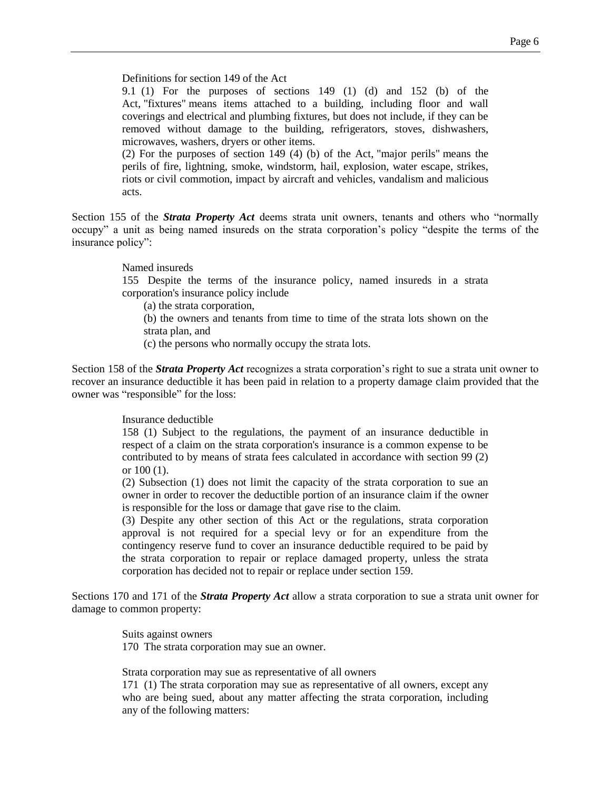Definitions for section 149 of the Act

9.1 (1) For the purposes of sections 149 (1) (d) and 152 (b) of the Act, "fixtures" means items attached to a building, including floor and wall coverings and electrical and plumbing fixtures, but does not include, if they can be removed without damage to the building, refrigerators, stoves, dishwashers, microwaves, washers, dryers or other items.

(2) For the purposes of section 149 (4) (b) of the Act, "major perils" means the perils of fire, lightning, smoke, windstorm, hail, explosion, water escape, strikes, riots or civil commotion, impact by aircraft and vehicles, vandalism and malicious acts.

Section 155 of the *Strata Property Act* deems strata unit owners, tenants and others who "normally occupy" a unit as being named insureds on the strata corporation's policy "despite the terms of the insurance policy":

#### Named insureds

155 Despite the terms of the insurance policy, named insureds in a strata corporation's insurance policy include

(a) the strata corporation,

(b) the owners and tenants from time to time of the strata lots shown on the strata plan, and

(c) the persons who normally occupy the strata lots.

Section 158 of the *Strata Property Act* recognizes a strata corporation's right to sue a strata unit owner to recover an insurance deductible it has been paid in relation to a property damage claim provided that the owner was "responsible" for the loss:

#### Insurance deductible

158 (1) Subject to the regulations, the payment of an insurance deductible in respect of a claim on the strata corporation's insurance is a common expense to be contributed to by means of strata fees calculated in accordance with section 99 (2) or 100 (1).

(2) Subsection (1) does not limit the capacity of the strata corporation to sue an owner in order to recover the deductible portion of an insurance claim if the owner is responsible for the loss or damage that gave rise to the claim.

(3) Despite any other section of this Act or the regulations, strata corporation approval is not required for a special levy or for an expenditure from the contingency reserve fund to cover an insurance deductible required to be paid by the strata corporation to repair or replace damaged property, unless the strata corporation has decided not to repair or replace under section 159.

Sections 170 and 171 of the *Strata Property Act* allow a strata corporation to sue a strata unit owner for damage to common property:

> Suits against owners 170 The strata corporation may sue an owner.

Strata corporation may sue as representative of all owners

171 (1) The strata corporation may sue as representative of all owners, except any who are being sued, about any matter affecting the strata corporation, including any of the following matters: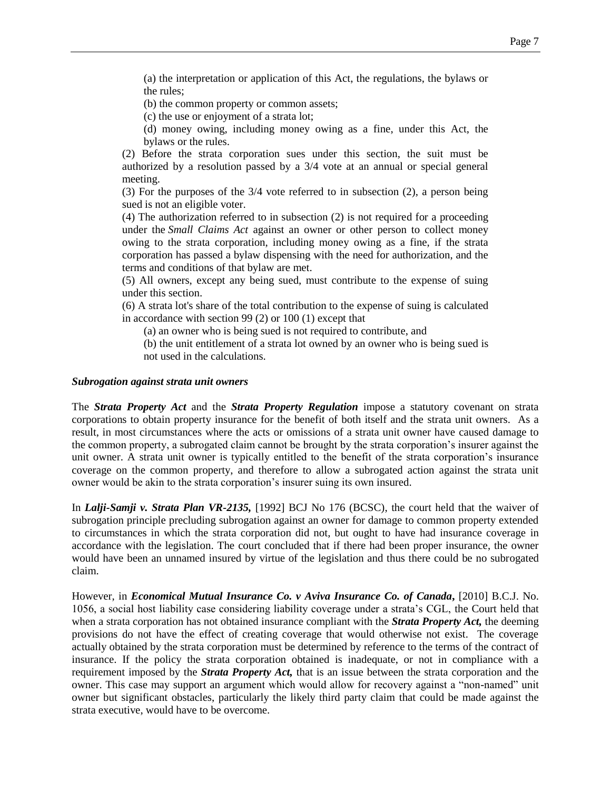(b) the common property or common assets;

(c) the use or enjoyment of a strata lot;

(d) money owing, including money owing as a fine, under this Act, the bylaws or the rules.

(2) Before the strata corporation sues under this section, the suit must be authorized by a resolution passed by a 3/4 vote at an annual or special general meeting.

(3) For the purposes of the 3/4 vote referred to in subsection (2), a person being sued is not an eligible voter.

(4) The authorization referred to in subsection (2) is not required for a proceeding under the *[Small Claims Act](http://www.bclaws.ca/civix/document/id/complete/statreg/96430_01)* against an owner or other person to collect money owing to the strata corporation, including money owing as a fine, if the strata corporation has passed a bylaw dispensing with the need for authorization, and the terms and conditions of that bylaw are met.

(5) All owners, except any being sued, must contribute to the expense of suing under this section.

(6) A strata lot's share of the total contribution to the expense of suing is calculated in accordance with section 99 (2) or 100 (1) except that

(a) an owner who is being sued is not required to contribute, and

(b) the unit entitlement of a strata lot owned by an owner who is being sued is not used in the calculations.

#### *Subrogation against strata unit owners*

The *Strata Property Act* and the *Strata Property Regulation* impose a statutory covenant on strata corporations to obtain property insurance for the benefit of both itself and the strata unit owners. As a result, in most circumstances where the acts or omissions of a strata unit owner have caused damage to the common property, a subrogated claim cannot be brought by the strata corporation's insurer against the unit owner. A strata unit owner is typically entitled to the benefit of the strata corporation's insurance coverage on the common property, and therefore to allow a subrogated action against the strata unit owner would be akin to the strata corporation's insurer suing its own insured.

In *Lalji-Samji v. Strata Plan VR-2135,* [1992] BCJ No 176 (BCSC), the court held that the waiver of subrogation principle precluding subrogation against an owner for damage to common property extended to circumstances in which the strata corporation did not, but ought to have had insurance coverage in accordance with the legislation. The court concluded that if there had been proper insurance, the owner would have been an unnamed insured by virtue of the legislation and thus there could be no subrogated claim.

However, in *Economical Mutual Insurance Co. v Aviva Insurance Co. of Canada***,** [2010] B.C.J. No. 1056, a social host liability case considering liability coverage under a strata's CGL, the Court held that when a strata corporation has not obtained insurance compliant with the *Strata Property Act,* the deeming provisions do not have the effect of creating coverage that would otherwise not exist. The coverage actually obtained by the strata corporation must be determined by reference to the terms of the contract of insurance. If the policy the strata corporation obtained is inadequate, or not in compliance with a requirement imposed by the *Strata Property Act,* that is an issue between the strata corporation and the owner. This case may support an argument which would allow for recovery against a "non-named" unit owner but significant obstacles, particularly the likely third party claim that could be made against the strata executive, would have to be overcome.